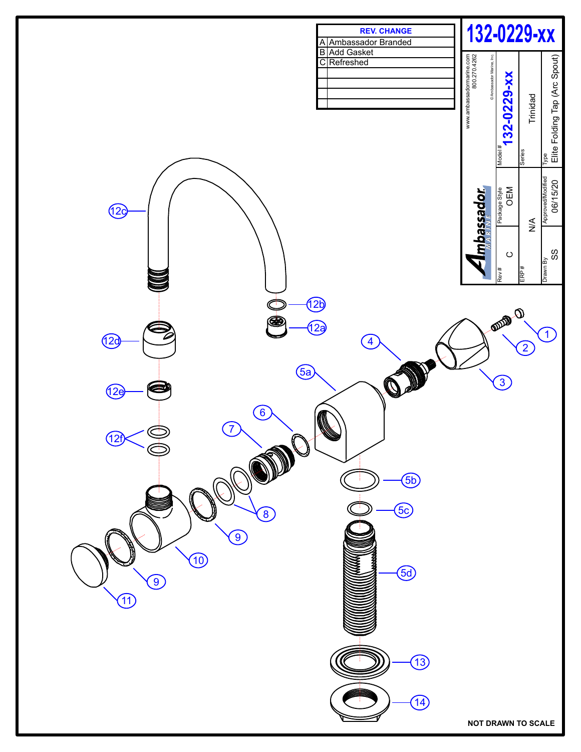